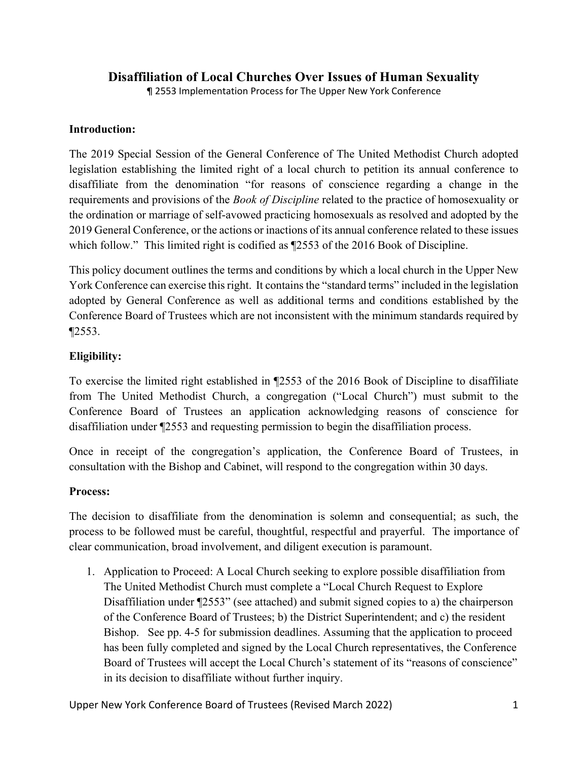# **Disaffiliation of Local Churches Over Issues of Human Sexuality**

¶ 2553 Implementation Process for The Upper New York Conference

### **Introduction:**

The 2019 Special Session of the General Conference of The United Methodist Church adopted legislation establishing the limited right of a local church to petition its annual conference to disaffiliate from the denomination "for reasons of conscience regarding a change in the requirements and provisions of the *Book of Discipline* related to the practice of homosexuality or the ordination or marriage of self-avowed practicing homosexuals as resolved and adopted by the 2019 General Conference, or the actions or inactions of its annual conference related to these issues which follow." This limited right is codified as  $\sqrt{2553}$  of the 2016 Book of Discipline.

This policy document outlines the terms and conditions by which a local church in the Upper New York Conference can exercise this right. It contains the "standard terms" included in the legislation adopted by General Conference as well as additional terms and conditions established by the Conference Board of Trustees which are not inconsistent with the minimum standards required by ¶2553.

## **Eligibility:**

To exercise the limited right established in ¶2553 of the 2016 Book of Discipline to disaffiliate from The United Methodist Church, a congregation ("Local Church") must submit to the Conference Board of Trustees an application acknowledging reasons of conscience for disaffiliation under ¶2553 and requesting permission to begin the disaffiliation process.

Once in receipt of the congregation's application, the Conference Board of Trustees, in consultation with the Bishop and Cabinet, will respond to the congregation within 30 days.

#### **Process:**

The decision to disaffiliate from the denomination is solemn and consequential; as such, the process to be followed must be careful, thoughtful, respectful and prayerful. The importance of clear communication, broad involvement, and diligent execution is paramount.

1. Application to Proceed: A Local Church seeking to explore possible disaffiliation from The United Methodist Church must complete a "Local Church Request to Explore Disaffiliation under ¶2553" (see attached) and submit signed copies to a) the chairperson of the Conference Board of Trustees; b) the District Superintendent; and c) the resident Bishop. See pp. 4-5 for submission deadlines. Assuming that the application to proceed has been fully completed and signed by the Local Church representatives, the Conference Board of Trustees will accept the Local Church's statement of its "reasons of conscience" in its decision to disaffiliate without further inquiry.

Upper New York Conference Board of Trustees (Revised March 2022) 1996 1997 1998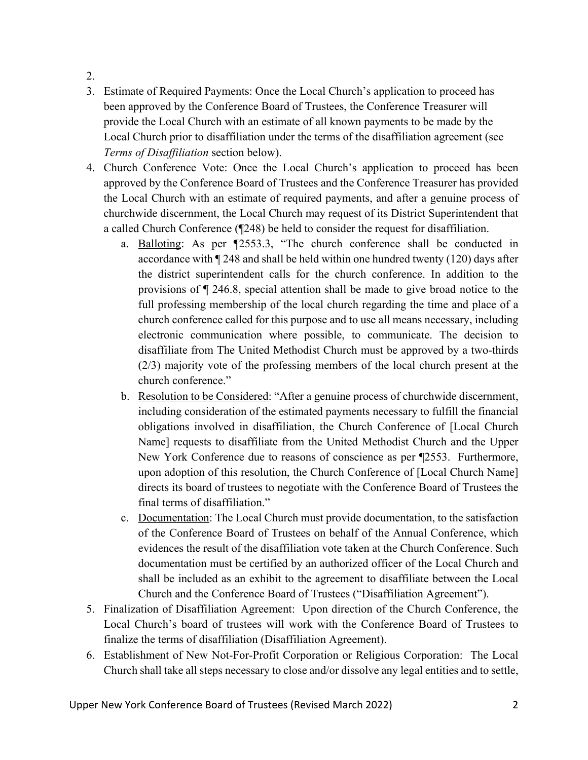- 2.
- 3. Estimate of Required Payments: Once the Local Church's application to proceed has been approved by the Conference Board of Trustees, the Conference Treasurer will provide the Local Church with an estimate of all known payments to be made by the Local Church prior to disaffiliation under the terms of the disaffiliation agreement (see *Terms of Disaffiliation* section below).
- 4. Church Conference Vote: Once the Local Church's application to proceed has been approved by the Conference Board of Trustees and the Conference Treasurer has provided the Local Church with an estimate of required payments, and after a genuine process of churchwide discernment, the Local Church may request of its District Superintendent that a called Church Conference (¶248) be held to consider the request for disaffiliation.
	- a. Balloting: As per ¶2553.3, "The church conference shall be conducted in accordance with ¶ 248 and shall be held within one hundred twenty (120) days after the district superintendent calls for the church conference. In addition to the provisions of ¶ 246.8, special attention shall be made to give broad notice to the full professing membership of the local church regarding the time and place of a church conference called for this purpose and to use all means necessary, including electronic communication where possible, to communicate. The decision to disaffiliate from The United Methodist Church must be approved by a two-thirds (2/3) majority vote of the professing members of the local church present at the church conference."
	- b. Resolution to be Considered: "After a genuine process of churchwide discernment, including consideration of the estimated payments necessary to fulfill the financial obligations involved in disaffiliation, the Church Conference of [Local Church Name] requests to disaffiliate from the United Methodist Church and the Upper New York Conference due to reasons of conscience as per ¶2553. Furthermore, upon adoption of this resolution, the Church Conference of [Local Church Name] directs its board of trustees to negotiate with the Conference Board of Trustees the final terms of disaffiliation."
	- c. Documentation: The Local Church must provide documentation, to the satisfaction of the Conference Board of Trustees on behalf of the Annual Conference, which evidences the result of the disaffiliation vote taken at the Church Conference. Such documentation must be certified by an authorized officer of the Local Church and shall be included as an exhibit to the agreement to disaffiliate between the Local Church and the Conference Board of Trustees ("Disaffiliation Agreement").
- 5. Finalization of Disaffiliation Agreement: Upon direction of the Church Conference, the Local Church's board of trustees will work with the Conference Board of Trustees to finalize the terms of disaffiliation (Disaffiliation Agreement).
- 6. Establishment of New Not-For-Profit Corporation or Religious Corporation: The Local Church shall take all steps necessary to close and/or dissolve any legal entities and to settle,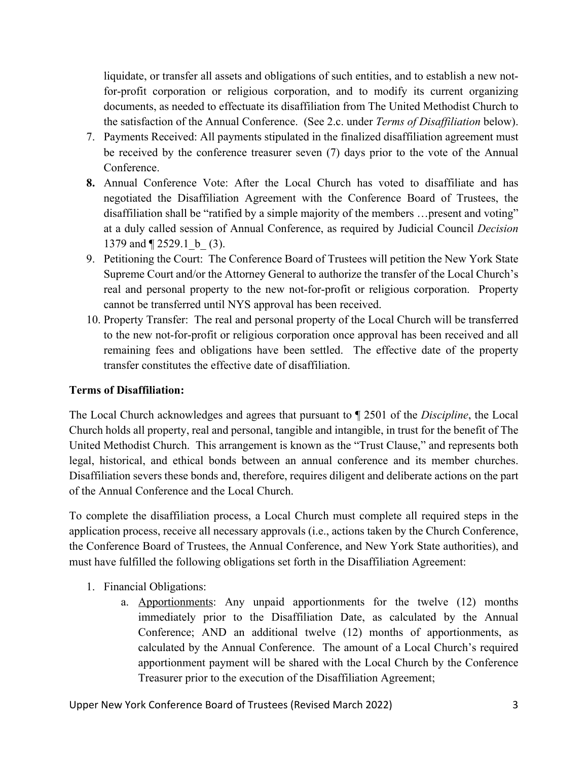liquidate, or transfer all assets and obligations of such entities, and to establish a new notfor-profit corporation or religious corporation, and to modify its current organizing documents, as needed to effectuate its disaffiliation from The United Methodist Church to the satisfaction of the Annual Conference. (See 2.c. under *Terms of Disaffiliation* below).

- 7. Payments Received: All payments stipulated in the finalized disaffiliation agreement must be received by the conference treasurer seven (7) days prior to the vote of the Annual Conference.
- **8.** Annual Conference Vote: After the Local Church has voted to disaffiliate and has negotiated the Disaffiliation Agreement with the Conference Board of Trustees, the disaffiliation shall be "ratified by a simple majority of the members ... present and voting" at a duly called session of Annual Conference, as required by Judicial Council *Decision* 1379 and  $\P$  2529.1 b (3).
- 9. Petitioning the Court: The Conference Board of Trustees will petition the New York State Supreme Court and/or the Attorney General to authorize the transfer of the Local Church's real and personal property to the new not-for-profit or religious corporation. Property cannot be transferred until NYS approval has been received.
- 10. Property Transfer: The real and personal property of the Local Church will be transferred to the new not-for-profit or religious corporation once approval has been received and all remaining fees and obligations have been settled. The effective date of the property transfer constitutes the effective date of disaffiliation.

## **Terms of Disaffiliation:**

The Local Church acknowledges and agrees that pursuant to ¶ 2501 of the *Discipline*, the Local Church holds all property, real and personal, tangible and intangible, in trust for the benefit of The United Methodist Church. This arrangement is known as the "Trust Clause," and represents both legal, historical, and ethical bonds between an annual conference and its member churches. Disaffiliation severs these bonds and, therefore, requires diligent and deliberate actions on the part of the Annual Conference and the Local Church.

To complete the disaffiliation process, a Local Church must complete all required steps in the application process, receive all necessary approvals (i.e., actions taken by the Church Conference, the Conference Board of Trustees, the Annual Conference, and New York State authorities), and must have fulfilled the following obligations set forth in the Disaffiliation Agreement:

- 1. Financial Obligations:
	- a. Apportionments: Any unpaid apportionments for the twelve (12) months immediately prior to the Disaffiliation Date, as calculated by the Annual Conference; AND an additional twelve (12) months of apportionments, as calculated by the Annual Conference. The amount of a Local Church's required apportionment payment will be shared with the Local Church by the Conference Treasurer prior to the execution of the Disaffiliation Agreement;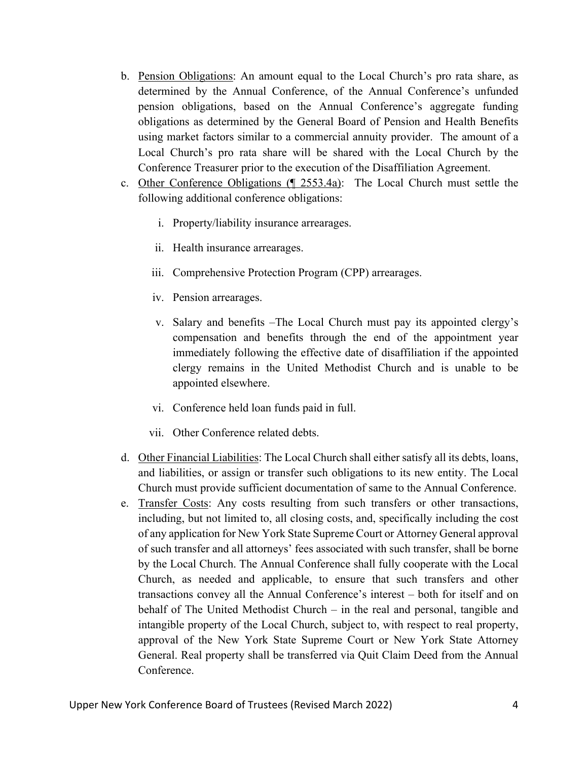- b. Pension Obligations: An amount equal to the Local Church's pro rata share, as determined by the Annual Conference, of the Annual Conference's unfunded pension obligations, based on the Annual Conference's aggregate funding obligations as determined by the General Board of Pension and Health Benefits using market factors similar to a commercial annuity provider. The amount of a Local Church's pro rata share will be shared with the Local Church by the Conference Treasurer prior to the execution of the Disaffiliation Agreement.
- c. Other Conference Obligations (¶ 2553.4a): The Local Church must settle the following additional conference obligations:
	- i. Property/liability insurance arrearages.
	- ii. Health insurance arrearages.
	- iii. Comprehensive Protection Program (CPP) arrearages.
	- iv. Pension arrearages.
	- v. Salary and benefits –The Local Church must pay its appointed clergy's compensation and benefits through the end of the appointment year immediately following the effective date of disaffiliation if the appointed clergy remains in the United Methodist Church and is unable to be appointed elsewhere.
	- vi. Conference held loan funds paid in full.
	- vii. Other Conference related debts.
- d. Other Financial Liabilities: The Local Church shall either satisfy all its debts, loans, and liabilities, or assign or transfer such obligations to its new entity. The Local Church must provide sufficient documentation of same to the Annual Conference.
- e. Transfer Costs: Any costs resulting from such transfers or other transactions, including, but not limited to, all closing costs, and, specifically including the cost of any application for New York State Supreme Court or Attorney General approval of such transfer and all attorneys' fees associated with such transfer, shall be borne by the Local Church. The Annual Conference shall fully cooperate with the Local Church, as needed and applicable, to ensure that such transfers and other transactions convey all the Annual Conference's interest – both for itself and on behalf of The United Methodist Church – in the real and personal, tangible and intangible property of the Local Church, subject to, with respect to real property, approval of the New York State Supreme Court or New York State Attorney General. Real property shall be transferred via Quit Claim Deed from the Annual Conference.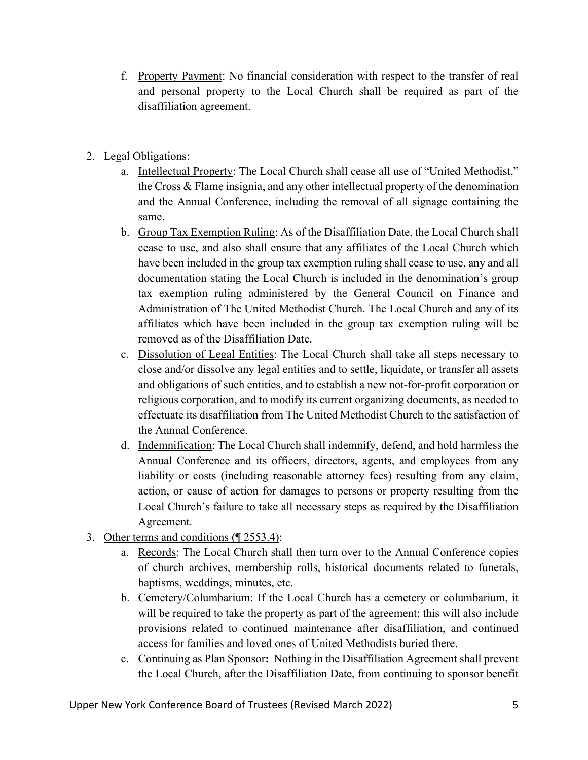- f. Property Payment: No financial consideration with respect to the transfer of real and personal property to the Local Church shall be required as part of the disaffiliation agreement.
- 2. Legal Obligations:
	- a. Intellectual Property: The Local Church shall cease all use of "United Methodist," the Cross & Flame insignia, and any other intellectual property of the denomination and the Annual Conference, including the removal of all signage containing the same.
	- b. Group Tax Exemption Ruling: As of the Disaffiliation Date, the Local Church shall cease to use, and also shall ensure that any affiliates of the Local Church which have been included in the group tax exemption ruling shall cease to use, any and all documentation stating the Local Church is included in the denomination's group tax exemption ruling administered by the General Council on Finance and Administration of The United Methodist Church. The Local Church and any of its affiliates which have been included in the group tax exemption ruling will be removed as of the Disaffiliation Date.
	- c. Dissolution of Legal Entities: The Local Church shall take all steps necessary to close and/or dissolve any legal entities and to settle, liquidate, or transfer all assets and obligations of such entities, and to establish a new not-for-profit corporation or religious corporation, and to modify its current organizing documents, as needed to effectuate its disaffiliation from The United Methodist Church to the satisfaction of the Annual Conference.
	- d. Indemnification: The Local Church shall indemnify, defend, and hold harmless the Annual Conference and its officers, directors, agents, and employees from any liability or costs (including reasonable attorney fees) resulting from any claim, action, or cause of action for damages to persons or property resulting from the Local Church's failure to take all necessary steps as required by the Disaffiliation Agreement.
- 3. Other terms and conditions (¶ 2553.4):
	- a. Records: The Local Church shall then turn over to the Annual Conference copies of church archives, membership rolls, historical documents related to funerals, baptisms, weddings, minutes, etc.
	- b. Cemetery/Columbarium: If the Local Church has a cemetery or columbarium, it will be required to take the property as part of the agreement; this will also include provisions related to continued maintenance after disaffiliation, and continued access for families and loved ones of United Methodists buried there.
	- c. Continuing as Plan Sponsor**:** Nothing in the Disaffiliation Agreement shall prevent the Local Church, after the Disaffiliation Date, from continuing to sponsor benefit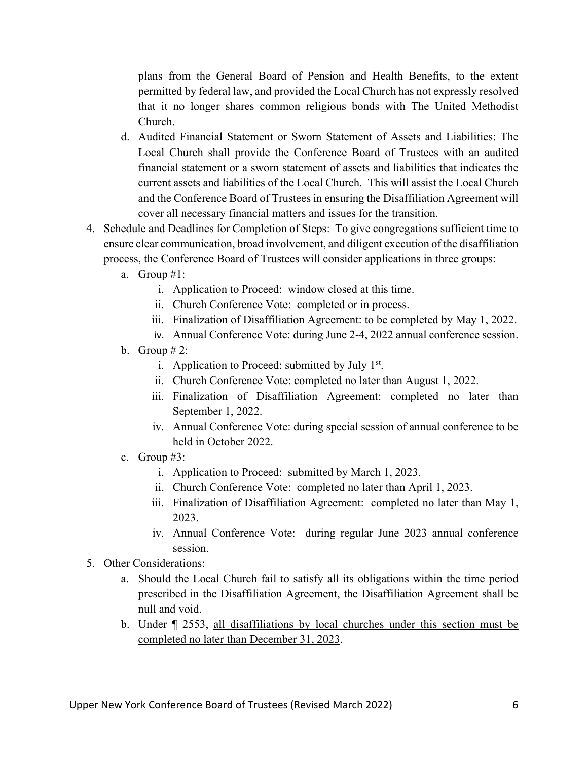plans from the General Board of Pension and Health Benefits, to the extent permitted by federal law, and provided the Local Church has not expressly resolved that it no longer shares common religious bonds with The United Methodist Church.

- d. Audited Financial Statement or Sworn Statement of Assets and Liabilities: The Local Church shall provide the Conference Board of Trustees with an audited financial statement or a sworn statement of assets and liabilities that indicates the current assets and liabilities of the Local Church. This will assist the Local Church and the Conference Board of Trustees in ensuring the Disaffiliation Agreement will cover all necessary financial matters and issues for the transition.
- 4. Schedule and Deadlines for Completion of Steps: To give congregations sufficient time to ensure clear communication, broad involvement, and diligent execution of the disaffiliation process, the Conference Board of Trustees will consider applications in three groups:
	- a. Group #1:
		- i. Application to Proceed: window closed at this time.
		- ii. Church Conference Vote: completed or in process.
		- iii. Finalization of Disaffiliation Agreement: to be completed by May 1, 2022.
		- iv. Annual Conference Vote: during June 2-4, 2022 annual conference session.
	- b. Group  $#2$ :
		- i. Application to Proceed: submitted by July  $1<sup>st</sup>$ .
		- ii. Church Conference Vote: completed no later than August 1, 2022.
		- iii. Finalization of Disaffiliation Agreement: completed no later than September 1, 2022.
		- iv. Annual Conference Vote: during special session of annual conference to be held in October 2022.
	- c. Group #3:
		- i. Application to Proceed: submitted by March 1, 2023.
		- ii. Church Conference Vote: completed no later than April 1, 2023.
		- iii. Finalization of Disaffiliation Agreement: completed no later than May 1, 2023.
		- iv. Annual Conference Vote: during regular June 2023 annual conference session.
- 5. Other Considerations:
	- a. Should the Local Church fail to satisfy all its obligations within the time period prescribed in the Disaffiliation Agreement, the Disaffiliation Agreement shall be null and void.
	- b. Under ¶ 2553, all disaffiliations by local churches under this section must be completed no later than December 31, 2023.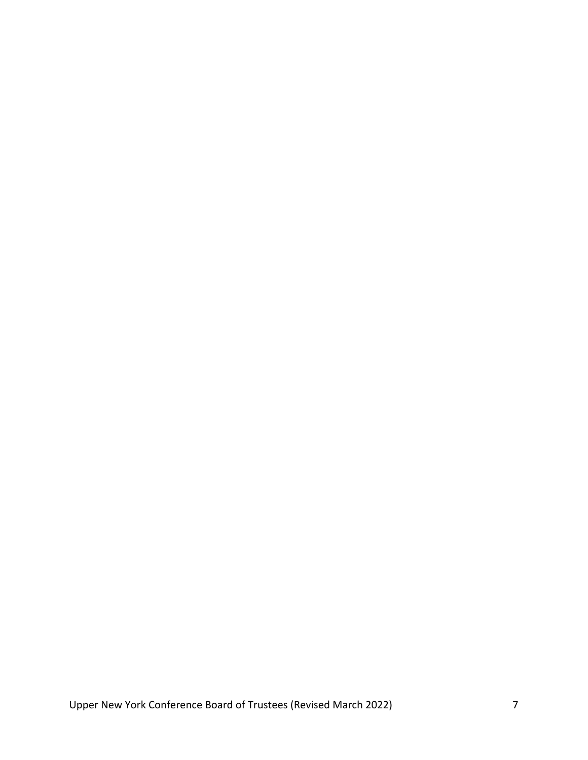Upper New York Conference Board of Trustees (Revised March 2022) 7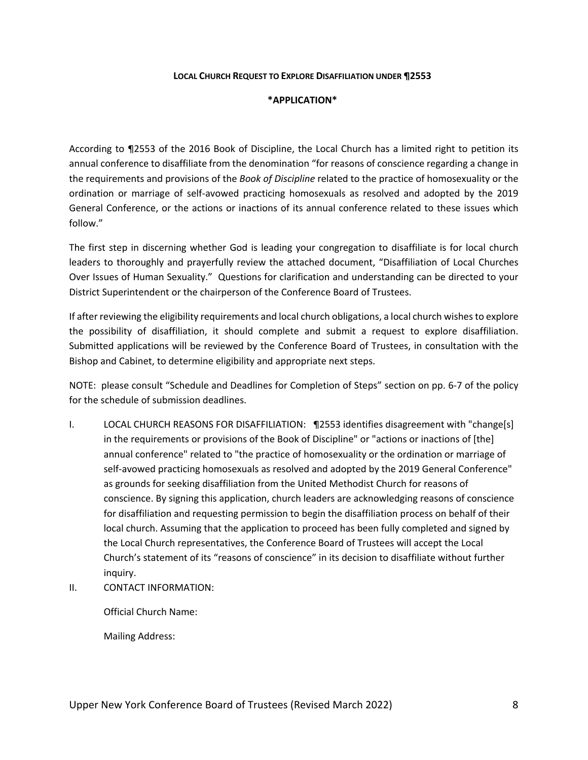#### **LOCAL CHURCH REQUEST TO EXPLORE DISAFFILIATION UNDER ¶2553**

#### **\*APPLICATION\***

According to ¶2553 of the 2016 Book of Discipline, the Local Church has a limited right to petition its annual conference to disaffiliate from the denomination "for reasons of conscience regarding a change in the requirements and provisions of the *Book of Discipline* related to the practice of homosexuality or the ordination or marriage of self-avowed practicing homosexuals as resolved and adopted by the 2019 General Conference, or the actions or inactions of its annual conference related to these issues which follow."

The first step in discerning whether God is leading your congregation to disaffiliate is for local church leaders to thoroughly and prayerfully review the attached document, "Disaffiliation of Local Churches Over Issues of Human Sexuality." Questions for clarification and understanding can be directed to your District Superintendent or the chairperson of the Conference Board of Trustees.

If after reviewing the eligibility requirements and local church obligations, a local church wishes to explore the possibility of disaffiliation, it should complete and submit a request to explore disaffiliation. Submitted applications will be reviewed by the Conference Board of Trustees, in consultation with the Bishop and Cabinet, to determine eligibility and appropriate next steps.

NOTE: please consult "Schedule and Deadlines for Completion of Steps" section on pp. 6-7 of the policy for the schedule of submission deadlines.

- I. LOCAL CHURCH REASONS FOR DISAFFILIATION: ¶2553 identifies disagreement with "change[s] in the requirements or provisions of the Book of Discipline" or "actions or inactions of [the] annual conference" related to "the practice of homosexuality or the ordination or marriage of self-avowed practicing homosexuals as resolved and adopted by the 2019 General Conference" as grounds for seeking disaffiliation from the United Methodist Church for reasons of conscience. By signing this application, church leaders are acknowledging reasons of conscience for disaffiliation and requesting permission to begin the disaffiliation process on behalf of their local church. Assuming that the application to proceed has been fully completed and signed by the Local Church representatives, the Conference Board of Trustees will accept the Local Church's statement of its "reasons of conscience" in its decision to disaffiliate without further inquiry.
- II. CONTACT INFORMATION:

Official Church Name:

Mailing Address: